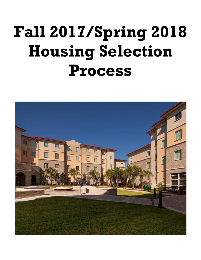# **Fall 2017/Spring 2018 Housing Selection Process**

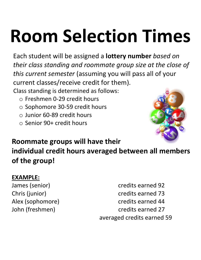# **Room Selection Times**

Each student will be assigned a **lottery number** *based on their class standing and roommate group size at the close of this current semester* (assuming you will pass all of your current classes/receive credit for them).

Class standing is determined as follows:

- o Freshmen 0-29 credit hours
- o Sophomore 30-59 credit hours
- o Junior 60-89 credit hours
- o Senior 90+ credit hours



**Roommate groups will have their individual credit hours averaged between all members of the group!**

#### **EXAMPLE:**

James (senior) and the credits earned 92 Chris (junior) credits earned 73 Alex (sophomore) and the credits earned 44 John (freshmen) and the credits earned 27 averaged credits earned 59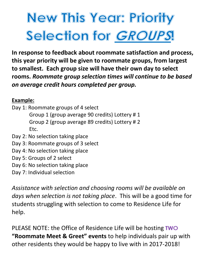## New This Year: Priority Selection for GROUPS!

**In response to feedback about roommate satisfaction and process, this year priority will be given to roommate groups, from largest to smallest. Each group size will have their own day to select rooms.** *Roommate group selection times will continue to be based on average credit hours completed per group.*

#### **Example:**

- Day 1: Roommate groups of 4 select Group 1 (group average 90 credits) Lottery # 1 Group 2 (group average 89 credits) Lottery # 2 Etc.
- Day 2: No selection taking place
- Day 3: Roommate groups of 3 select
- Day 4: No selection taking place
- Day 5: Groups of 2 select
- Day 6: No selection taking place
- Day 7: Individual selection

*Assistance with selection and choosing rooms will be available on days when selection is not taking place*. This will be a good time for students struggling with selection to come to Residence Life for help.

PLEASE NOTE: the Office of Residence Life will be hosting TWO **"Roommate Meet & Greet" events** to help individuals pair up with other residents they would be happy to live with in 2017-2018!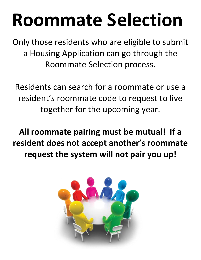# **Roommate Selection**

Only those residents who are eligible to submit a Housing Application can go through the Roommate Selection process.

Residents can search for a roommate or use a resident's roommate code to request to live together for the upcoming year.

**All roommate pairing must be mutual! If a resident does not accept another's roommate request the system will not pair you up!**

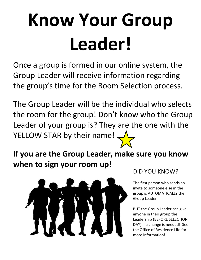# **Know Your Group Leader!**

Once a group is formed in our online system, the Group Leader will receive information regarding the group's time for the Room Selection process.

The Group Leader will be the individual who selects the room for the group! Don't know who the Group Leader of your group is? They are the one with the YELLOW STAR by their name!

**If you are the Group Leader, make sure you know when to sign your room up!**



DID YOU KNOW?

The first person who sends an invite to someone else in the group is AUTOMATICALLY the Group Leader

BUT the Group Leader can give anyone in their group the Leadership (BEFORE SELECTION DAY) if a change is needed! See the Office of Residence Life for more information!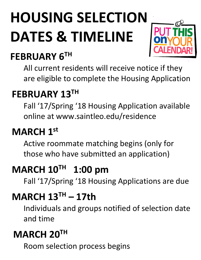# **HOUSING SELECTION DATES & TIMELINE**

## **FEBRUARY 6 TH**

All current residents will receive notice if they are eligible to complete the Housing Application

## **FEBRUARY 13TH**

Fall '17/Spring '18 Housing Application available online at www.saintleo.edu/residence

## **MARCH 1 st**

Active roommate matching begins (only for those who have submitted an application)

#### **MARCH 10 TH 1:00 pm**

Fall '17/Spring '18 Housing Applications are due

## **MARCH 13TH – 17th**

Individuals and groups notified of selection date and time

## **MARCH 20TH**

Room selection process begins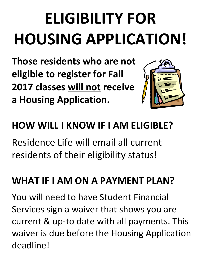# **ELIGIBILITY FOR HOUSING APPLICATION!**

**Those residents who are not eligible to register for Fall 2017 classes will not receive a Housing Application.**



### **HOW WILL I KNOW IF I AM ELIGIBLE?**

Residence Life will email all current residents of their eligibility status!

## **WHAT IF I AM ON A PAYMENT PLAN?**

You will need to have Student Financial Services sign a waiver that shows you are current & up-to date with all payments. This waiver is due before the Housing Application deadline!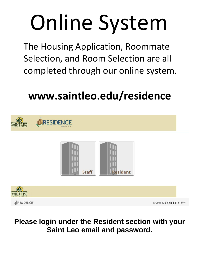# Online System

The Housing Application, Roommate Selection, and Room Selection are all completed through our online system.

## **www.saintleo.edu/residence**



#### **Please login under the Resident section with your Saint Leo email and password.**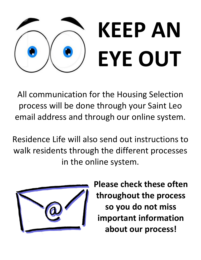

All communication for the Housing Selection process will be done through your Saint Leo email address and through our online system.

Residence Life will also send out instructions to walk residents through the different processes in the online system.



**Please check these often throughout the process so you do not miss important information about our process!**